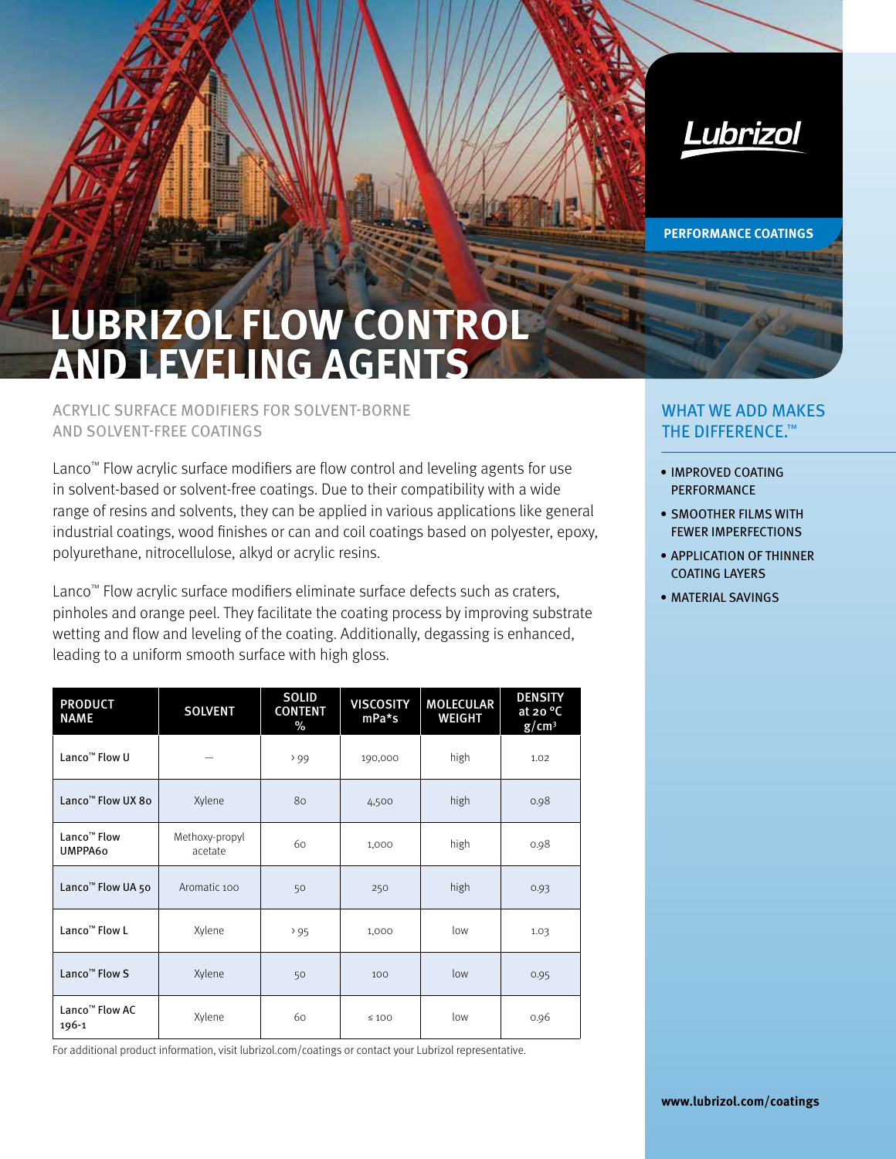

**PERFORMANCE COATINGS**

## **LUBRIZOL FLOW CONTROL AND LEVELING AGENTS**

## ACRYLIC SURFACE MODIFIERS FOR SOLVENT-BORNE AND SOLVENT-FREE COATINGS

Lanco™ Flow acrylic surface modifiers are flow control and leveling agents for use in solvent-based or solvent-free coatings. Due to their compatibility with a wide range of resins and solvents, they can be applied in various applications like general industrial coatings, wood finishes or can and coil coatings based on polyester, epoxy, polyurethane, nitrocellulose, alkyd or acrylic resins.

Lanco™ Flow acrylic surface modifiers eliminate surface defects such as craters, pinholes and orange peel. They facilitate the coating process by improving substrate wetting and flow and leveling of the coating. Additionally, degassing is enhanced, leading to a uniform smooth surface with high gloss.

| <b>PRODUCT</b><br><b>NAME</b>       | <b>SOLVENT</b>            | <b>SOLID</b><br><b>CONTENT</b><br>% | <b>VISCOSITY</b><br>$mPa*$ s | <b>MOLECULAR</b><br><b>WEIGHT</b> | <b>DENSITY</b><br>at 20 $\degree$ C<br>$g/cm^3$ |
|-------------------------------------|---------------------------|-------------------------------------|------------------------------|-----------------------------------|-------------------------------------------------|
| Lanco <sup>™</sup> Flow U           |                           | 299                                 | 190,000                      | high                              | 1.02                                            |
| Lanco <sup>™</sup> Flow UX 8o       | Xylene                    | 80                                  | 4,500                        | high                              | 0.98                                            |
| Lanco <sup>™</sup> Flow<br>UMPPA60  | Methoxy-propyl<br>acetate | 60                                  | 1,000                        | high                              | 0.98                                            |
| Lanco <sup>™</sup> Flow UA 50       | Aromatic 100              | 50                                  | 250                          | high                              | 0.93                                            |
| Lanco <sup>™</sup> Flow L           | Xylene                    | 295                                 | 1,000                        | low                               | 1.03                                            |
| Lanco <sup>™</sup> Flow S           | Xylene                    | 50                                  | 100                          | low                               | 0.95                                            |
| Lanco <sup>™</sup> Flow AC<br>196-1 | Xylene                    | 60                                  | $\leq 100$                   | low                               | 0.96                                            |

For additional product information, visit lubrizol.com/coatings or contact your Lubrizol representative.

## WHAT WE ADD MAKES THE DIFFERENCE.™

- IMPROVED COATING PERFORMANCE
- SMOOTHER FILMS WITH FEWER IMPERFECTIONS
- APPLICATION OF THINNER COATING LAYERS
- MATERIAL SAVINGS